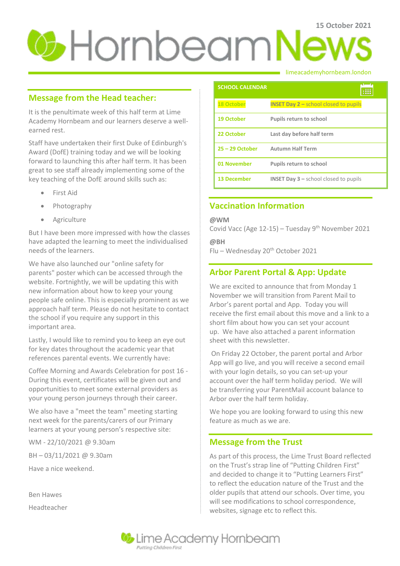# **15 October 2021**

## **Message from the Head teacher:**

It is the penultimate week of this half term at Lime Academy Hornbeam and our learners deserve a wellearned rest.

Staff have undertaken their first Duke of Edinburgh's Award (DofE) training today and we will be looking forward to launching this after half term. It has been great to see staff already implementing some of the key teaching of the DofE around skills such as:

- First Aid
- Photography
- Agriculture

But I have been more impressed with how the classes have adapted the learning to meet the individualised needs of the learners.

We have also launched our "online safety for parents" poster which can be accessed through the website. Fortnightly, we will be updating this with new information about how to keep your young people safe online. This is especially prominent as we approach half term. Please do not hesitate to contact the school if you require any support in this important area.

Lastly, I would like to remind you to keep an eye out for key dates throughout the academic year that references parental events. We currently have:

Coffee Morning and Awards Celebration for post 16 - During this event, certificates will be given out and opportunities to meet some external providers as your young person journeys through their career.

We also have a "meet the team" meeting starting next week for the parents/carers of our Primary learners at your young person's respective site:

WM - 22/10/2021 @ 9.30am BH – 03/11/2021 @ 9.30am Have a nice weekend.

Ben Hawes Headteacher

#### limeacademyhornbeam.london

| <b>SCHOOL CALENDAR</b> |                                                           |
|------------------------|-----------------------------------------------------------|
| <b>18 October</b>      | <b>INSET Day <math>2</math> – school closed to pupils</b> |
| <b>19 October</b>      | Pupils return to school                                   |
| 22 October             | Last day before half term                                 |
| $25 - 29$ October      | <b>Autumn Half Term</b>                                   |
| 01 November            | Pupils return to school                                   |
| <b>13 December</b>     | <b>INSET Day <math>3</math> – school closed to pupils</b> |

# **Vaccination Information**

**@WM**

Covid Vacc (Age  $12-15$ ) – Tuesday 9<sup>th</sup> November 2021

**@BH**

Flu – Wednesday 20th October 2021

# **Arbor Parent Portal & App: Update**

We are excited to announce that from Monday 1 November we will transition from Parent Mail to Arbor's parent portal and App. Today you will receive the first email about this move and a link to a short film about how you can set your account up. We have also attached a parent information sheet with this newsletter.

On Friday 22 October, the parent portal and Arbor App will go live, and you will receive a second email with your login details, so you can set-up your account over the half term holiday period. We will be transferring your ParentMail account balance to Arbor over the half term holiday.

We hope you are looking forward to using this new feature as much as we are.

# **Message from the Trust**

As part of this process, the Lime Trust Board reflected on the Trust's strap line of "Putting Children First" and decided to change it to "Putting Learners First" to reflect the education nature of the Trust and the older pupils that attend our schools. Over time, you will see modifications to school correspondence, websites, signage etc to reflect this.